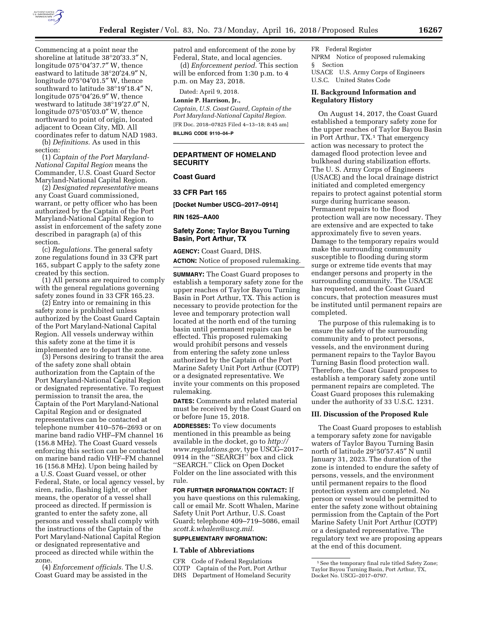

Commencing at a point near the shoreline at latitude 38°20′33.3″ N, longitude 075°04′37.7″ W, thence eastward to latitude 38°20′24.9″ N, longitude 075°04′01.5″ W, thence southward to latitude 38°19′18.4″ N, longitude 075°04′26.9″ W, thence westward to latitude 38°19′27.0″ N, longitude 075°05′03.0″ W, thence northward to point of origin, located adjacent to Ocean City, MD. All coordinates refer to datum NAD 1983.

(b) *Definitions.* As used in this section:

(1) *Captain of the Port Maryland-National Capital Region* means the Commander, U.S. Coast Guard Sector Maryland-National Capital Region.

(2) *Designated representative* means any Coast Guard commissioned, warrant, or petty officer who has been authorized by the Captain of the Port Maryland-National Capital Region to assist in enforcement of the safety zone described in paragraph (a) of this section.

(c) *Regulations.* The general safety zone regulations found in 33 CFR part 165, subpart C apply to the safety zone created by this section.

(1) All persons are required to comply with the general regulations governing safety zones found in 33 CFR 165.23.

(2) Entry into or remaining in this safety zone is prohibited unless authorized by the Coast Guard Captain of the Port Maryland-National Capital Region. All vessels underway within this safety zone at the time it is implemented are to depart the zone.

(3) Persons desiring to transit the area of the safety zone shall obtain authorization from the Captain of the Port Maryland-National Capital Region or designated representative. To request permission to transit the area, the Captain of the Port Maryland-National Capital Region and or designated representatives can be contacted at telephone number 410–576–2693 or on marine band radio VHF–FM channel 16 (156.8 MHz). The Coast Guard vessels enforcing this section can be contacted on marine band radio VHF–FM channel 16 (156.8 MHz). Upon being hailed by a U.S. Coast Guard vessel, or other Federal, State, or local agency vessel, by siren, radio, flashing light, or other means, the operator of a vessel shall proceed as directed. If permission is granted to enter the safety zone, all persons and vessels shall comply with the instructions of the Captain of the Port Maryland-National Capital Region or designated representative and proceed as directed while within the zone.

(4) *Enforcement officials.* The U.S. Coast Guard may be assisted in the

patrol and enforcement of the zone by Federal, State, and local agencies.

(d) *Enforcement period.* This section will be enforced from 1:30 p.m. to 4 p.m. on May 23, 2018.

Dated: April 9, 2018.

**Lonnie P. Harrison, Jr.,** 

*Captain, U.S. Coast Guard, Captain of the Port Maryland-National Capital Region.*  [FR Doc. 2018–07825 Filed 4–13–18; 8:45 am]

**BILLING CODE 9110–04–P** 

# **DEPARTMENT OF HOMELAND SECURITY**

## **Coast Guard**

# **33 CFR Part 165**

**[Docket Number USCG–2017–0914]** 

**RIN 1625–AA00** 

# **Safety Zone; Taylor Bayou Turning Basin, Port Arthur, TX**

**AGENCY:** Coast Guard, DHS. **ACTION:** Notice of proposed rulemaking.

**SUMMARY:** The Coast Guard proposes to establish a temporary safety zone for the upper reaches of Taylor Bayou Turning Basin in Port Arthur, TX. This action is necessary to provide protection for the levee and temporary protection wall located at the north end of the turning basin until permanent repairs can be effected. This proposed rulemaking would prohibit persons and vessels from entering the safety zone unless authorized by the Captain of the Port Marine Safety Unit Port Arthur (COTP) or a designated representative. We invite your comments on this proposed rulemaking.

**DATES:** Comments and related material must be received by the Coast Guard on or before June 15, 2018.

**ADDRESSES:** To view documents mentioned in this preamble as being available in the docket, go to *[http://](http://www.regulations.gov) [www.regulations.gov,](http://www.regulations.gov)* type USCG–2017– 0914 in the ''SEARCH'' box and click ''SEARCH.'' Click on Open Docket Folder on the line associated with this rule.

## **FOR FURTHER INFORMATION CONTACT:** If

you have questions on this rulemaking, call or email Mr. Scott Whalen, Marine Safety Unit Port Arthur, U.S. Coast Guard; telephone 409–719–5086, email *[scott.k.whalen@uscg.mil.](mailto:scott.k.whalen@uscg.mil)* 

# **SUPPLEMENTARY INFORMATION:**

## **I. Table of Abbreviations**

CFR Code of Federal Regulations COTP Captain of the Port, Port Arthur DHS Department of Homeland Security FR Federal Register

NPRM Notice of proposed rulemaking § Section USACE U.S. Army Corps of Engineers U.S.C. United States Code

## **II. Background Information and Regulatory History**

On August 14, 2017, the Coast Guard established a temporary safety zone for the upper reaches of Taylor Bayou Basin in Port Arthur, TX.<sup>1</sup> That emergency action was necessary to protect the damaged flood protection levee and bulkhead during stabilization efforts. The U. S. Army Corps of Engineers (USACE) and the local drainage district initiated and completed emergency repairs to protect against potential storm surge during hurricane season. Permanent repairs to the flood protection wall are now necessary. They are extensive and are expected to take approximately five to seven years. Damage to the temporary repairs would make the surrounding community susceptible to flooding during storm surge or extreme tide events that may endanger persons and property in the surrounding community. The USACE has requested, and the Coast Guard concurs, that protection measures must be instituted until permanent repairs are completed.

The purpose of this rulemaking is to ensure the safety of the surrounding community and to protect persons, vessels, and the environment during permanent repairs to the Taylor Bayou Turning Basin flood protection wall. Therefore, the Coast Guard proposes to establish a temporary safety zone until permanent repairs are completed. The Coast Guard proposes this rulemaking under the authority of 33 U.S.C. 1231.

#### **III. Discussion of the Proposed Rule**

The Coast Guard proposes to establish a temporary safety zone for navigable waters of Taylor Bayou Turning Basin north of latitude 29°50′57.45″ N until January 31, 2023. The duration of the zone is intended to endure the safety of persons, vessels, and the environment until permanent repairs to the flood protection system are completed. No person or vessel would be permitted to enter the safety zone without obtaining permission from the Captain of the Port Marine Safety Unit Port Arthur (COTP) or a designated representative. The regulatory text we are proposing appears at the end of this document.

<sup>&</sup>lt;sup>1</sup> See the temporary final rule titled Safety Zone; Taylor Bayou Turning Basin, Port Arthur, TX, Docket No. USCG–2017–0797.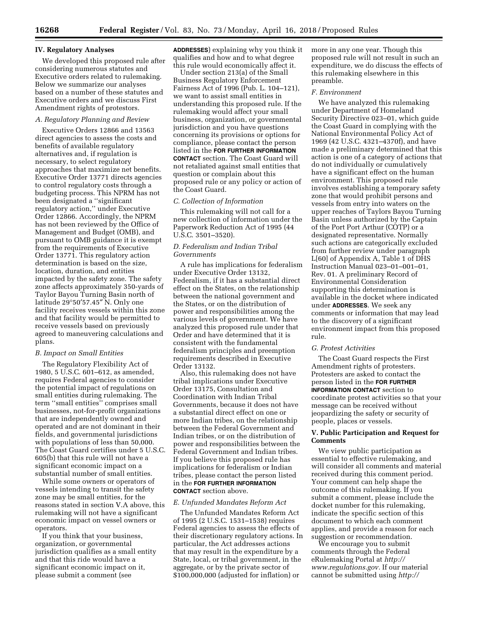# **IV. Regulatory Analyses**

We developed this proposed rule after considering numerous statutes and Executive orders related to rulemaking. Below we summarize our analyses based on a number of these statutes and Executive orders and we discuss First Amendment rights of protestors.

## *A. Regulatory Planning and Review*

Executive Orders 12866 and 13563 direct agencies to assess the costs and benefits of available regulatory alternatives and, if regulation is necessary, to select regulatory approaches that maximize net benefits. Executive Order 13771 directs agencies to control regulatory costs through a budgeting process. This NPRM has not been designated a ''significant regulatory action,'' under Executive Order 12866. Accordingly, the NPRM has not been reviewed by the Office of Management and Budget (OMB), and pursuant to OMB guidance it is exempt from the requirements of Executive Order 13771. This regulatory action determination is based on the size, location, duration, and entities impacted by the safety zone. The safety zone affects approximately 350-yards of Taylor Bayou Turning Basin north of latitude 29°50′57.45″ N. Only one facility receives vessels within this zone and that facility would be permitted to receive vessels based on previously agreed to maneuvering calculations and plans.

### *B. Impact on Small Entities*

The Regulatory Flexibility Act of 1980, 5 U.S.C. 601–612, as amended, requires Federal agencies to consider the potential impact of regulations on small entities during rulemaking. The term ''small entities'' comprises small businesses, not-for-profit organizations that are independently owned and operated and are not dominant in their fields, and governmental jurisdictions with populations of less than 50,000. The Coast Guard certifies under 5 U.S.C. 605(b) that this rule will not have a significant economic impact on a substantial number of small entities.

While some owners or operators of vessels intending to transit the safety zone may be small entities, for the reasons stated in section V.A above, this rulemaking will not have a significant economic impact on vessel owners or operators.

If you think that your business, organization, or governmental jurisdiction qualifies as a small entity and that this ride would have a significant economic impact on it, please submit a comment (see

**ADDRESSES**) explaining why you think it qualifies and how and to what degree this rule would economically affect it.

Under section 213(a) of the Small Business Regulatory Enforcement Fairness Act of 1996 (Pub. L. 104–121), we want to assist small entities in understanding this proposed rule. If the rulemaking would affect your small business, organization, or governmental jurisdiction and you have questions concerning its provisions or options for compliance, please contact the person listed in the **FOR FURTHER INFORMATION CONTACT** section. The Coast Guard will not retaliated against small entities that question or complain about this proposed rule or any policy or action of the Coast Guard.

#### *C. Collection of Information*

This rulemaking will not call for a new collection of information under the Paperwork Reduction Act of 1995 (44 U.S.C. 3501–3520).

## *D. Federalism and Indian Tribal Governments*

A rule has implications for federalism under Executive Order 13132, Federalism, if it has a substantial direct effect on the States, on the relationship between the national government and the States, or on the distribution of power and responsibilities among the various levels of government. We have analyzed this proposed rule under that Order and have determined that it is consistent with the fundamental federalism principles and preemption requirements described in Executive Order 13132.

Also, this rulemaking does not have tribal implications under Executive Order 13175, Consultation and Coordination with Indian Tribal Governments, because it does not have a substantial direct effect on one or more Indian tribes, on the relationship between the Federal Government and Indian tribes, or on the distribution of power and responsibilities between the Federal Government and Indian tribes. If you believe this proposed rule has implications for federalism or Indian tribes, please contact the person listed in the **FOR FURTHER INFORMATION CONTACT** section above.

#### *E. Unfunded Mandates Reform Act*

The Unfunded Mandates Reform Act of 1995 (2 U.S.C. 1531–1538) requires Federal agencies to assess the effects of their discretionary regulatory actions. In particular, the Act addresses actions that may result in the expenditure by a State, local, or tribal government, in the aggregate, or by the private sector of \$100,000,000 (adjusted for inflation) or

more in any one year. Though this proposed rule will not result in such an expenditure, we do discuss the effects of this rulemaking elsewhere in this preamble.

#### *F. Environment*

We have analyzed this rulemaking under Department of Homeland Security Directive 023–01, which guide the Coast Guard in complying with the National Environmental Policy Act of 1969 (42 U.S.C. 4321–4370f), and have made a preliminary determined that this action is one of a category of actions that do not individually or cumulatively have a significant effect on the human environment. This proposed rule involves establishing a temporary safety zone that would prohibit persons and vessels from entry into waters on the upper reaches of Taylors Bayou Turning Basin unless authorized by the Captain of the Port Port Arthur (COTP) or a designated representative. Normally such actions are categorically excluded from further review under paragraph L[60] of Appendix A, Table 1 of DHS Instruction Manual 023–01–001–01, Rev. 01. A preliminary Record of Environmental Consideration supporting this determination is available in the docket where indicated under **ADDRESSES**. We seek any comments or information that may lead to the discovery of a significant environment impact from this proposed rule.

## *G. Protest Activities*

The Coast Guard respects the First Amendment rights of protesters. Protesters are asked to contact the person listed in the **FOR FURTHER INFORMATION CONTACT** section to coordinate protest activities so that your message can be received without jeopardizing the safety or security of people, places or vessels.

## **V. Public Participation and Request for Comments**

We view public participation as essential to effective rulemaking, and will consider all comments and material received during this comment period. Your comment can help shape the outcome of this rulemaking. If you submit a comment, please include the docket number for this rulemaking, indicate the specific section of this document to which each comment applies, and provide a reason for each suggestion or recommendation.

We encourage you to submit comments through the Federal eRulemaking Portal at *[http://](http://www.regulations.gov) [www.regulations.gov.](http://www.regulations.gov)* If our material cannot be submitted using *[http://](http://www.regulations.gov)*